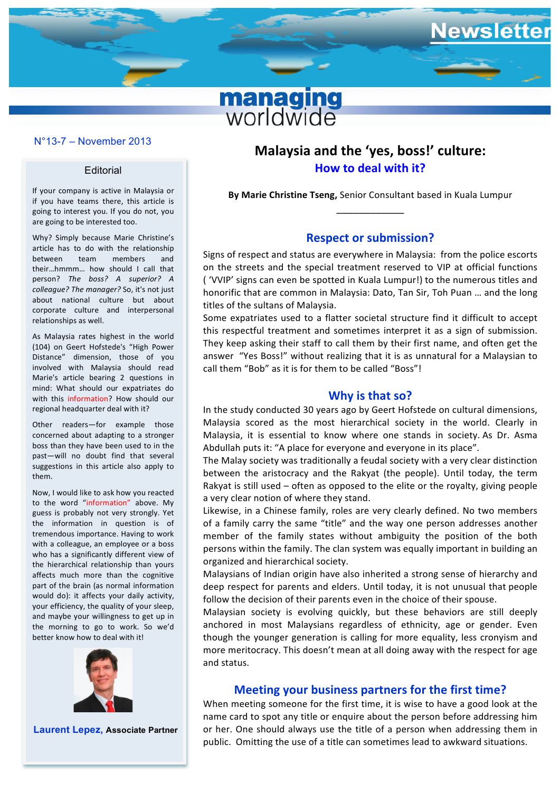# **managing**<br>worldwide

#### **N°11-7 – December 2011** N°13-7 – November 2013

#### **Editorial**

If your company is active in Malaysia or if you have teams there, this article is going to interest you. If you do not, you are going to be interested too.

Why? Simply because Marie Christine's article has to do with the relationship between team members and their...hmmm... how should I call that person? The boss? A superior? A *colleague?* The manager? So, it's not just about national culture but about corporate culture and interpersonal relationships as well.

As Malaysia rates highest in the world (104) on Geert Hofstede's "High Power Distance" dimension, those of you involved with Malaysia should read Marie's article bearing 2 questions in mind: What should our expatriates do with this information? How should our regional headquarter deal with it?

Other readers-for example those concerned about adapting to a stronger boss than they have been used to in the past-will no doubt find that several suggestions in this article also apply to them.

Now, I would like to ask how you reacted to the word "information" above. My guess is probably not very strongly. Yet the information in question is of tremendous importance. Having to work with a colleague, an employee or a boss who has a significantly different view of the hierarchical relationship than yours affects much more than the cognitive part of the brain (as normal information would do): it affects your daily activity, your efficiency, the quality of your sleep, and maybe your willingness to get up in the morning to go to work. So we'd better know how to deal with it!



**Laurent Lepez, Associate Partner**

# Malaysia and the 'yes, boss!' culture: **How to deal with it?**

ewsletter

**By Marie Christine Tseng, Senior Consultant based in Kuala Lumpur** \_\_\_\_\_\_\_\_\_\_\_\_

## **Respect or submission?**

Signs of respect and status are everywhere in Malaysia: from the police escorts on the streets and the special treatment reserved to VIP at official functions ( 'VVIP' signs can even be spotted in Kuala Lumpur!) to the numerous titles and honorific that are common in Malaysia: Dato, Tan Sir, Toh Puan ... and the long titles of the sultans of Malaysia.

Some expatriates used to a flatter societal structure find it difficult to accept this respectful treatment and sometimes interpret it as a sign of submission. They keep asking their staff to call them by their first name, and often get the answer "Yes Boss!" without realizing that it is as unnatural for a Malaysian to call them "Bob" as it is for them to be called "Boss"!

## **Why is that so?**

In the study conducted 30 years ago by Geert Hofstede on cultural dimensions, Malaysia scored as the most hierarchical society in the world. Clearly in Malaysia, it is essential to know where one stands in society. As Dr. Asma Abdullah puts it: "A place for everyone and everyone in its place".

The Malay society was traditionally a feudal society with a very clear distinction between the aristocracy and the Rakyat (the people). Until today, the term Rakyat is still used  $-$  often as opposed to the elite or the royalty, giving people a very clear notion of where they stand.

Likewise, in a Chinese family, roles are very clearly defined. No two members of a family carry the same "title" and the way one person addresses another member of the family states without ambiguity the position of the both persons within the family. The clan system was equally important in building an organized and hierarchical society.

Malaysians of Indian origin have also inherited a strong sense of hierarchy and deep respect for parents and elders. Until today, it is not unusual that people follow the decision of their parents even in the choice of their spouse.

Malaysian society is evolving quickly, but these behaviors are still deeply anchored in most Malaysians regardless of ethnicity, age or gender. Even though the younger generation is calling for more equality, less cronyism and more meritocracy. This doesn't mean at all doing away with the respect for age and status.

## **Meeting your business partners for the first time?**

When meeting someone for the first time, it is wise to have a good look at the name card to spot any title or enquire about the person before addressing him or her. One should always use the title of a person when addressing them in public. Omitting the use of a title can sometimes lead to awkward situations.